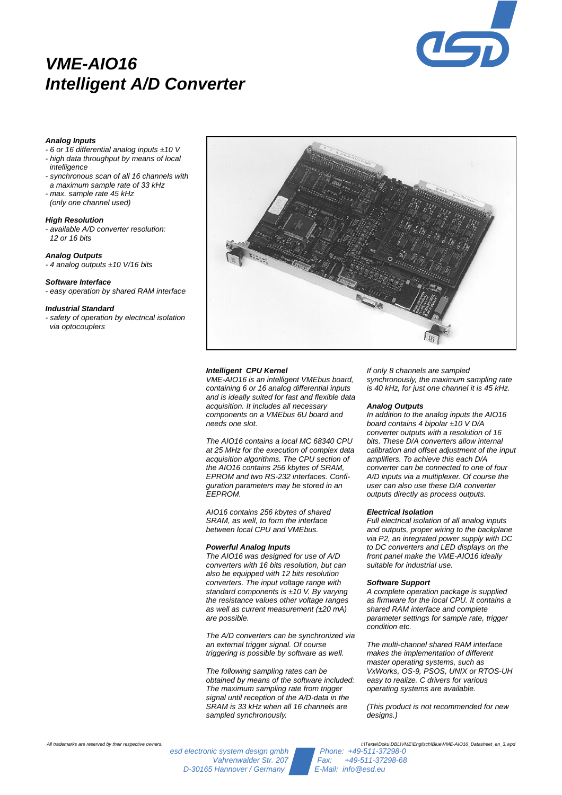

# **VME-AIO16 Intelligent A/D Converter**

## **Analog Inputs**

- $-6$  or 16 differential analog inputs  $\pm$ 10 V
- high data throughput by means of local intelligence
- synchronous scan of all 16 channels with a maximum sample rate of 33 kHz
- max. sample rate 45 kHz
- (only one channel used)

#### **High Resolution**

- available A/D converter resolution: 12 or 16 bits

### **Analog Outputs**

- 4 analog outputs  $±10$  V/16 bits

### **Software Interface**

- easy operation by shared RAM interface

### **Industrial Standard**

safety of operation by electrical isolation via optocouplers



### **Intelligent CPU Kernel**

VME-AIO16 is an intelligent VMEbus board, containing 6 or 16 analog differential inputs and is ideally suited for fast and flexible data acquisition. It includes all necessary components on a VMEbus 6U board and needs one slot.

The AIO16 contains a local MC 68340 CPU at 25 MHz for the execution of complex data acquisition algorithms. The CPU section of the AIO16 contains 256 kbytes of SRAM, EPROM and two RS-232 interfaces. Configuration parameters may be stored in an EEPROM.

AIO16 contains 256 kbytes of shared SRAM, as well, to form the interface between local CPU and VMEbus.

#### **Powerful Analog Inputs**

The AIO16 was designed for use of A/D converters with 16 bits resolution, but can also be equipped with 12 bits resolution converters. The input voltage range with standard components is  $±10$  V. By varying the resistance values other voltage ranges as well as current measurement  $(+20 \text{ mA})$ are possible.

The A/D converters can be synchronized via an external trigger signal. Of course triggering is possible by software as well.

The following sampling rates can be obtained by means of the software included: The maximum sampling rate from trigger signal until reception of the A/D-data in the SRAM is 33 kHz when all 16 channels are sampled synchronously.

If only 8 channels are sampled synchronously, the maximum sampling rate is 40 kHz, for just one channel it is 45 kHz.

#### **Analog Outputs**

In addition to the analog inputs the AIO16 board contains 4 bipolar  $±10$  V D/A converter outputs with a resolution of 16 bits. These D/A converters allow internal calibration and offset adjustment of the input amplifiers. To achieve this each D/A converter can be connected to one of four A/D inputs via a multiplexer. Of course the user can also use these D/A converter outputs directly as process outputs.

### **Electrical Isolation**

Full electrical isolation of all analog inputs and outputs, proper wiring to the backplane via P2, an integrated power supply with DC to DC converters and LED displays on the front panel make the VME-AIO16 ideally suitable for industrial use.

## **Software Support**

A complete operation package is supplied as firmware for the local CPU. It contains a shared RAM interface and complete parameter settings for sample rate, trigger .<br>condition etc.

The multi-channel shared RAM interface makes the implementation of different master operating systems, such as VxWorks, OS-9, PSOS, UNIX or RTOS-UH easy to realize. C drivers for various operating systems are available.

(This product is not recommended for new designs.)

esd electronic system design gmbh Phone: +49-511-37298-0<br>Vahrenwalder Str. 207 Fax: +49-511-37298-68 Vahrenwalder Str. 207 Fax: +49-511-372<br>Hannover / Germany E-Mail: info@esd.eu D-30165 Hannover / Germany

All trademarks are reserved by their respective owners.<br>I:\Texte\Doku\DBL\VME\Englisch\Blue\VME-AIO16\_Datasheet\_en\_3.wpd<br>Phone: +49-511-37298-0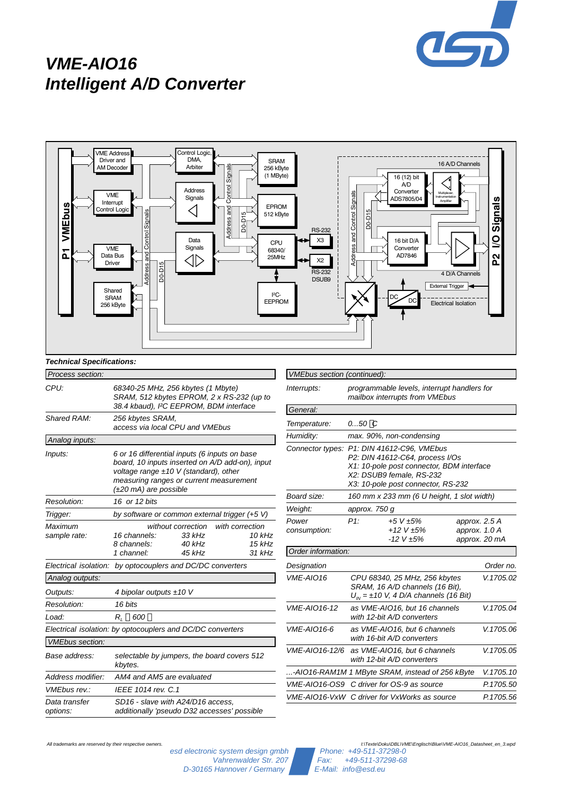

# **VME-AIO16 Intelligent A/D Converter**



esd electronic system design gmbh Phone: +49-511-37298-0<br>Vahrenwalder Str. 207 Fax: +49-511-37298-68 Vahrenwalder Str. 207 Fax: +49-511-372<br>Hannover / Germany E-Mail: info@esd.eu D-30165 Hannover / Germany